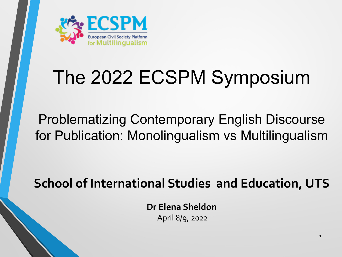

# The 2022 ECSPM Symposium

### Problematizing Contemporary English Discourse for Publication: Monolingualism vs Multilingualism

### **School of International Studies and Education, UTS**

**Dr Elena Sheldon**  April 8/9, 2022

1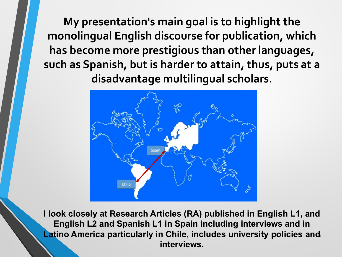**My presentation's main goal is to highlight the monolingual English discourse for publication, which has become more prestigious than other languages, such as Spanish, but is harder to attain, thus, puts at a disadvantage multilingual scholars.**



**Latino America particularly in Chile, includes university policies and I look closely at Research Articles (RA) published in English L1, and English L2 and Spanish L1 in Spain including interviews and in interviews.**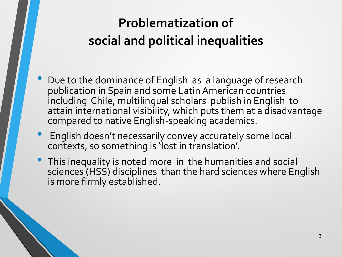## **Problematization of social and political inequalities**

- Due to the dominance of English as a language of research publication in Spain and some Latin American countries including Chile, multilingual scholars publish in English to attain international visibility, which puts them at a disadvantage compared to native English-speaking academics.
- English doesn't necessarily convey accurately some local contexts, so something is 'lost in translation'.
- This inequality is noted more in the humanities and social sciences (HSS) disciplines than the hard sciences where English is more firmly established.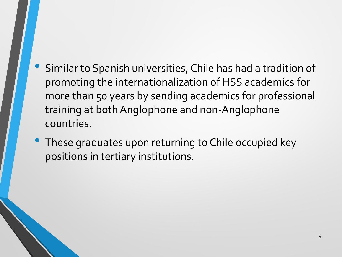- Similar to Spanish universities, Chile has had a tradition of promoting the internationalization of HSS academics for more than 50 years by sending academics for professional training at both Anglophone and non-Anglophone countries.
- These graduates upon returning to Chile occupied key positions in tertiary institutions.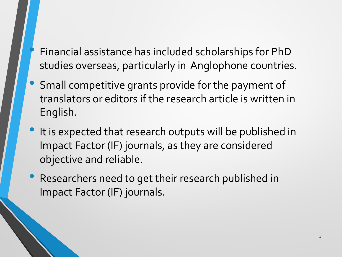- Financial assistance has included scholarships for PhD studies overseas, particularly in Anglophone countries.
- Small competitive grants provide for the payment of translators or editors if the research article is written in English.
- It is expected that research outputs will be published in Impact Factor (IF) journals, as they are considered objective and reliable.
- Researchers need to get their research published in Impact Factor (IF) journals.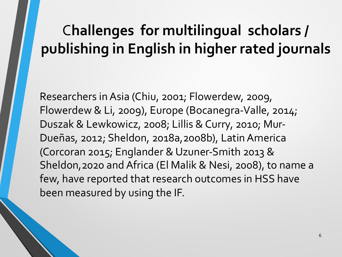# C**hallenges for multilingual scholars / publishing in English in higher rated journals**

Researchers in Asia (Chiu, 2001; Flowerdew, 2009, Flowerdew & Li, 2009), Europe (Bocanegra-Valle, 2014; Duszak & Lewkowicz, 2008; Lillis & Curry, 2010; Mur-Dueñas, 2012; Sheldon, 2018a,2008b), Latin America (Corcoran 2015; Englander & Uzuner-Smith 2013 & Sheldon,2020 and Africa (El Malik & Nesi, 2008), to name a few, have reported that research outcomes in HSS have been measured by using the IF.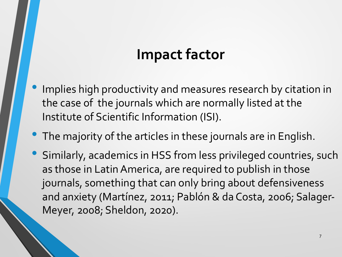### **Impact factor**

- Implies high productivity and measures research by citation in the case of the journals which are normally listed at the Institute of Scientific Information (ISI).
- The majority of the articles in these journals are in English.
- Similarly, academics in HSS from less privileged countries, such as those in Latin America, are required to publish in those journals, something that can only bring about defensiveness and anxiety (Martínez, 2011; Pablón & da Costa, 2006; Salager-Meyer, 2008; Sheldon, 2020).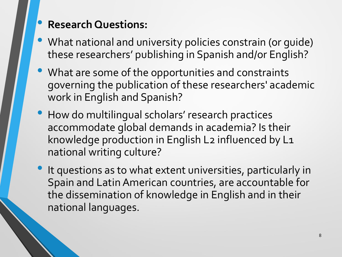### • **Research Questions:**

- What national and university policies constrain (or guide) these researchers' publishing in Spanish and/or English?
- What are some of the opportunities and constraints governing the publication of these researchers' academic work in English and Spanish?
- How do multilingual scholars' research practices accommodate global demands in academia? Is their knowledge production in English L2 influenced by L1 national writing culture?
- It questions as to what extent universities, particularly in Spain and Latin American countries, are accountable for the dissemination of knowledge in English and in their national languages.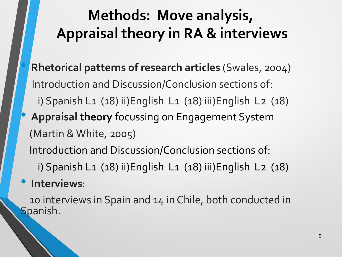# **Methods: Move analysis, Appraisal theory in RA & interviews**

- **Rhetorical patterns of research articles** (Swales, 2004) Introduction and Discussion/Conclusion sections of: i) Spanish L1 (18) ii)English L1 (18) iii)English L2 (18)
- **Appraisal theory** focussing on Engagement System (Martin & White, 2005) Introduction and Discussion/Conclusion sections of:

i) Spanish L1 (18) ii)English L1 (18) iii)English L2 (18)

#### • **Interviews**:

10 interviews in Spain and 14 in Chile, both conducted in Spanish.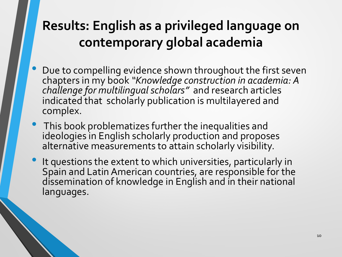### **Results: English as a privileged language on contemporary global academia**

- Due to compelling evidence shown throughout the first seven chapters in my book *"Knowledge construction in academia: A challenge for multilingual scholars"* and research articles indicated that scholarly publication is multilayered and complex.
- This book problematizes further the inequalities and ideologies in English scholarly production and proposes alternative measurements to attain scholarly visibility.
- It questions the extent to which universities, particularly in Spain and Latin American countries, are responsible for the dissemination of knowledge in English and in their national languages.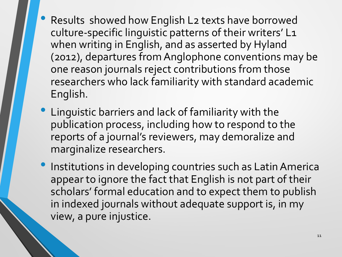- Results showed how English L2 texts have borrowed culture-specific linguistic patterns of their writers' L1 when writing in English, and as asserted by Hyland (2012), departures from Anglophone conventions may be one reason journals reject contributions from those researchers who lack familiarity with standard academic English.
- Linguistic barriers and lack of familiarity with the publication process, including how to respond to the reports of a journal's reviewers, may demoralize and marginalize researchers.
- Institutions in developing countries such as Latin America appear to ignore the fact that English is not part of their scholars' formal education and to expect them to publish in indexed journals without adequate support is, in my view, a pure injustice.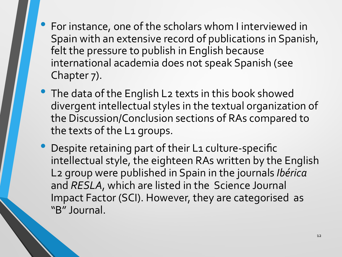- For instance, one of the scholars whom I interviewed in Spain with an extensive record of publications in Spanish, felt the pressure to publish in English because international academia does not speak Spanish (see Chapter 7).
- The data of the English L2 texts in this book showed divergent intellectual styles in the textual organization of the Discussion/Conclusion sections of RAs compared to the texts of the L1 groups.
- Despite retaining part of their L1 culture-specific intellectual style, the eighteen RAs written by the English L2 group were published in Spain in the journals *Ibérica* and *RESLA*, which are listed in the Science Journal Impact Factor (SCI). However, they are categorised as "B" Journal.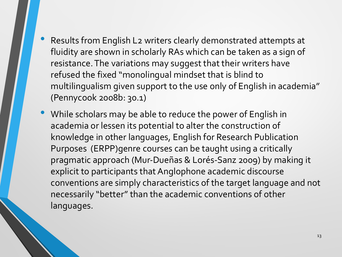- Results from English L2 writers clearly demonstrated attempts at fluidity are shown in scholarly RAs which can be taken as a sign of resistance. The variations may suggest that their writers have refused the fixed "monolingual mindset that is blind to multilingualism given support to the use only of English in academia" (Pennycook 2008b: 30.1)
- While scholars may be able to reduce the power of English in academia or lessen its potential to alter the construction of knowledge in other languages, English for Research Publication Purposes (ERPP)genre courses can be taught using a critically pragmatic approach (Mur-Dueñas & Lorés-Sanz 2009) by making it explicit to participants that Anglophone academic discourse conventions are simply characteristics of the target language and not necessarily "better" than the academic conventions of other languages.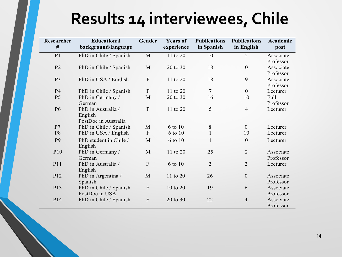# **Results 14 interviewees, Chile**

| Researcher<br># | <b>Educational</b><br>background/language             | Gender                    | <b>Years of</b><br>experience | <b>Publications</b><br>in Spanish | <b>Publications</b><br>in English | Academic<br>post       |
|-----------------|-------------------------------------------------------|---------------------------|-------------------------------|-----------------------------------|-----------------------------------|------------------------|
| P <sub>1</sub>  | PhD in Chile / Spanish                                | $\mathbf{M}$              | 11 to 20                      | 10                                | 5                                 | Associate<br>Professor |
| P <sub>2</sub>  | PhD in Chile / Spanish                                | M                         | 20 to 30                      | 18                                | $\mathbf{0}$                      | Associate<br>Professor |
| P <sub>3</sub>  | PhD in USA / English                                  | ${\bf F}$                 | 11 to 20                      | 18                                | 9                                 | Associate<br>Professor |
| P <sub>4</sub>  | PhD in Chile / Spanish                                | $\mathbf{F}$              | 11 to $20$                    | $\overline{7}$                    | $\mathbf{0}$                      | Lecturer               |
| P <sub>5</sub>  | PhD in Germany /<br>German                            | $\mathbf{M}$              | 20 to 30                      | 16                                | 10                                | Full<br>Professor      |
| <b>P6</b>       | PhD in Australia /<br>English<br>PostDoc in Australia | ${\bf F}$                 | 11 to 20                      | 5                                 | $\overline{4}$                    | Lecturer               |
| P7              | PhD in Chile / Spanish                                | M                         | 6 to 10                       | $8\,$                             | $\mathbf{0}$                      | Lecturer               |
| P <sub>8</sub>  | PhD in USA / English                                  | $\overline{F}$            | 6 to 10                       | $\mathbf{1}$                      | 10                                | Lecturer               |
| P <sub>9</sub>  | PhD student in Chile /<br>English                     | M                         | 6 to 10                       | $\mathbf{1}$                      | $\mathbf{0}$                      | Lecturer               |
| P <sub>10</sub> | PhD in Germany /<br>German                            | $\mathbf{M}$              | 11 to 20                      | 25                                | $\overline{2}$                    | Associate<br>Professor |
| P11             | PhD in Australia /<br>English                         | $\mathbf{F}$              | 6 to 10                       | $\overline{2}$                    | $\overline{2}$                    | Lecturer               |
| P12             | PhD in Argentina /<br>Spanish                         | M                         | 11 to 20                      | 26                                | $\boldsymbol{0}$                  | Associate<br>Professor |
| P13             | PhD in Chile / Spanish<br>PostDoc in USA              | $\boldsymbol{\mathrm{F}}$ | 10 to 20                      | 19                                | 6                                 | Associate<br>Professor |
| P <sub>14</sub> | PhD in Chile / Spanish                                | ${\bf F}$                 | 20 to 30                      | 22                                | $\overline{4}$                    | Associate<br>Professor |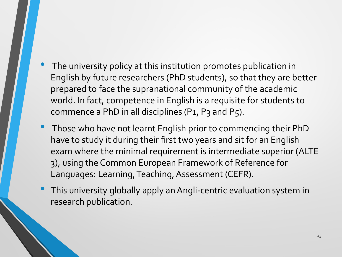- The university policy at this institution promotes publication in English by future researchers (PhD students), so that they are better prepared to face the supranational community of the academic world. In fact, competence in English is a requisite for students to commence a PhD in all disciplines (P1, P3 and P5).
- Those who have not learnt English prior to commencing their PhD have to study it during their first two years and sit for an English exam where the minimal requirement is intermediate superior (ALTE 3), using the Common European Framework of Reference for Languages: Learning, Teaching, Assessment (CEFR).
- This university globally apply an Angli-centric evaluation system in research publication.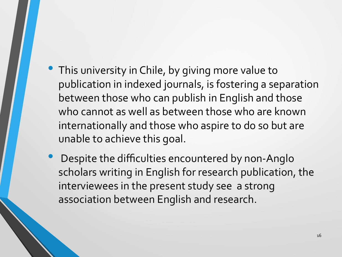- This university in Chile, by giving more value to publication in indexed journals, is fostering a separation between those who can publish in English and those who cannot as well as between those who are known internationally and those who aspire to do so but are unable to achieve this goal.
- Despite the difficulties encountered by non-Anglo scholars writing in English for research publication, the interviewees in the present study see a strong association between English and research.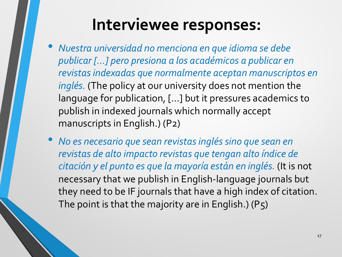# **Interviewee responses:**

- *Nuestra universidad no menciona en que idioma se debe publicar […] pero presiona a los académicos a publicar en revistas indexadas que normalmente aceptan manuscriptos en inglés.* (The policy at our university does not mention the language for publication, […] but it pressures academics to publish in indexed journals which normally accept manuscripts in English.) (P2)
- *No es necesario que sean revistas ingléssino que sean en revistas de alto impacto revistas que tengan alto índice de citación y el punto es que la mayoría están en inglés.* (It is not necessary that we publish in English-language journals but they need to be IF journals that have a high index of citation. The point is that the majority are in English.) (P5)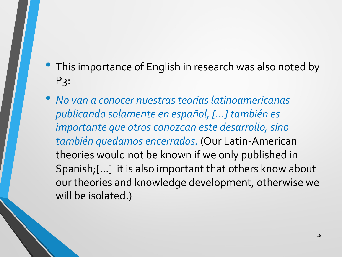- This importance of English in research was also noted by P3:
- *No van a conocer nuestras teorias latinoamericanas publicando solamente en español, […] también es importante que otros conozcan este desarrollo, sino también quedamos encerrados.* (Our Latin-American theories would not be known if we only published in Spanish;[…] it is also important that others know about our theories and knowledge development, otherwise we will be isolated.)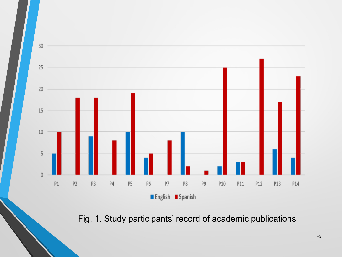

Fig. 1. Study participants' record of academic publications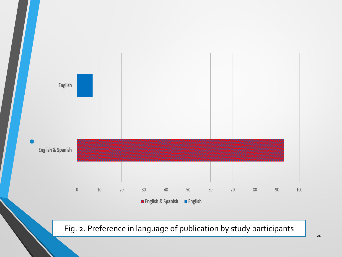

Fig. 2. Preference in language of publication by study participants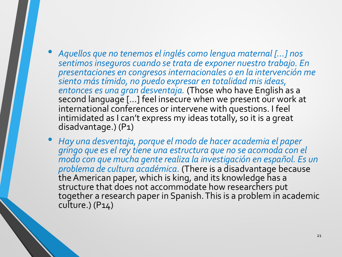- *Aquellos que no tenemos el inglés como lengua maternal […] nos sentimos inseguros cuando se trata de exponer nuestro trabajo. En presentaciones en congresos internacionales o en la intervención me siento más tímido, no puedo expresar en totalidad mis ideas,*  second language [...] feel insecure when we present our work at international conferences or intervene with questions. I feel intimidated as I can't express my ideas totally, so it is a great disadvantage.) (P1)
- *Hay una desventaja, porque el modo de hacer academia el paper gringo que es el rey tiene una estructura que no se acomoda con el modo con que mucha gente realiza la investigación en español. Es un problema de cultura académica.* (There is a disadvantage because the American paper, which is king, and its knowledge has a structure that does not accommodate how researchers put together a research paper in Spanish. This is a problem in academic culture.)  $(P14)$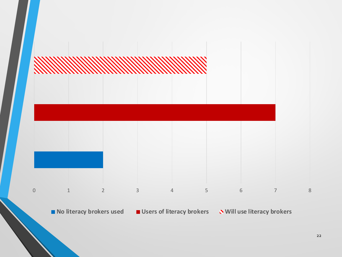

■ No literacy brokers used ■ Users of literacy brokers **No Will use literacy brokers**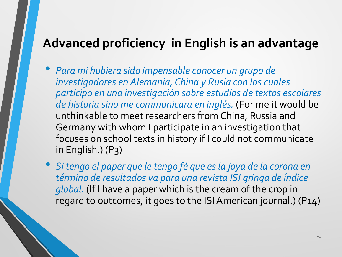### **Advanced proficiency in English is an advantage**

- *Para mi hubiera sido impensable conocer un grupo de investigadores en Alemania, China y Rusia con los cuales participo en una investigación sobre estudios de textos escolares de historia sino me communicara en inglés.* (For me it would be unthinkable to meet researchers from China, Russia and Germany with whom I participate in an investigation that focuses on school texts in history if I could not communicate in English.) (P3)
- *Si tengo el paper que le tengo fé que esla joya de la corona en término de resultados va para una revista ISI gringa de índice global.* (If I have a paper which is the cream of the crop in regard to outcomes, it goes to the ISI American journal.) (P14)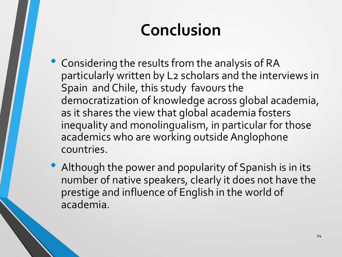# **Conclusion**

- Considering the results from the analysis of RA particularly written by L2 scholars and the interviews in Spain and Chile, this study favours the democratization of knowledge across global academia, as it shares the view that global academia fosters inequality and monolingualism, in particular for those academics who are working outside Anglophone countries.
- Although the power and popularity of Spanish is in its number of native speakers, clearly it does not have the prestige and influence of English in the world of academia.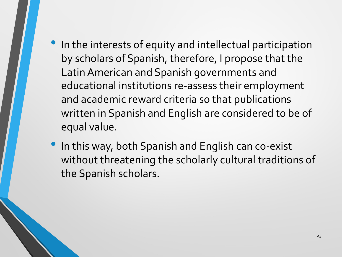- In the interests of equity and intellectual participation by scholars of Spanish, therefore, I propose that the Latin American and Spanish governments and educational institutions re-assess their employment and academic reward criteria so that publications written in Spanish and English are considered to be of equal value.
- In this way, both Spanish and English can co-exist without threatening the scholarly cultural traditions of the Spanish scholars.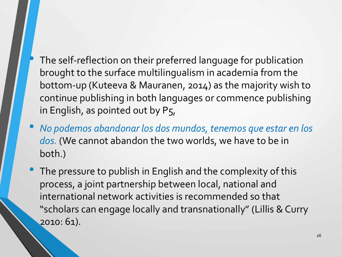- The self-reflection on their preferred language for publication brought to the surface multilingualism in academia from the bottom-up (Kuteeva & Mauranen, 2014) as the majority wish to continue publishing in both languages or commence publishing in English, as pointed out by P5,
- *No podemos abandonar los dos mundos, tenemos que estar en los dos.* (We cannot abandon the two worlds, we have to be in both.)
- The pressure to publish in English and the complexity of this process, a joint partnership between local, national and international network activities is recommended so that "scholars can engage locally and transnationally" (Lillis & Curry 2010: 61).